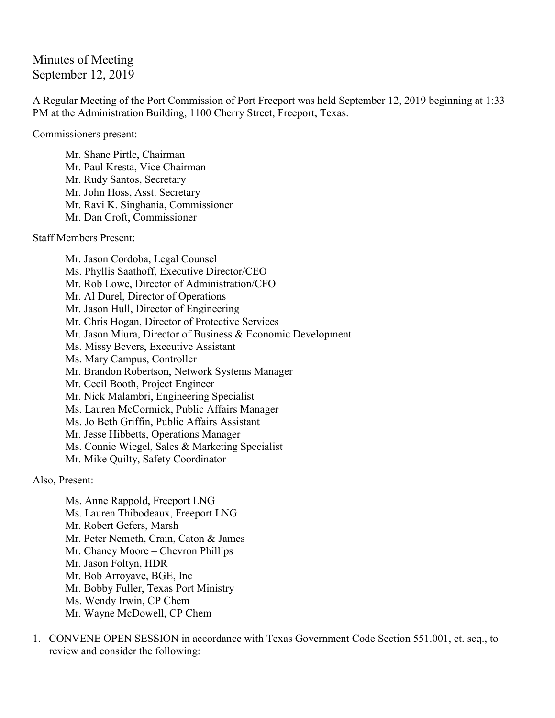## Minutes of Meeting September 12, 2019

A Regular Meeting of the Port Commission of Port Freeport was held September 12, 2019 beginning at 1:33 PM at the Administration Building, 1100 Cherry Street, Freeport, Texas.

Commissioners present:

Mr. Shane Pirtle, Chairman Mr. Paul Kresta, Vice Chairman Mr. Rudy Santos, Secretary Mr. John Hoss, Asst. Secretary Mr. Ravi K. Singhania, Commissioner Mr. Dan Croft, Commissioner

Staff Members Present:

Mr. Jason Cordoba, Legal Counsel Ms. Phyllis Saathoff, Executive Director/CEO Mr. Rob Lowe, Director of Administration/CFO Mr. Al Durel, Director of Operations Mr. Jason Hull, Director of Engineering Mr. Chris Hogan, Director of Protective Services Mr. Jason Miura, Director of Business & Economic Development Ms. Missy Bevers, Executive Assistant Ms. Mary Campus, Controller Mr. Brandon Robertson, Network Systems Manager Mr. Cecil Booth, Project Engineer Mr. Nick Malambri, Engineering Specialist Ms. Lauren McCormick, Public Affairs Manager Ms. Jo Beth Griffin, Public Affairs Assistant Mr. Jesse Hibbetts, Operations Manager Ms. Connie Wiegel, Sales & Marketing Specialist Mr. Mike Quilty, Safety Coordinator

Also, Present:

Ms. Anne Rappold, Freeport LNG Ms. Lauren Thibodeaux, Freeport LNG Mr. Robert Gefers, Marsh Mr. Peter Nemeth, Crain, Caton & James Mr. Chaney Moore – Chevron Phillips Mr. Jason Foltyn, HDR Mr. Bob Arroyave, BGE, Inc Mr. Bobby Fuller, Texas Port Ministry Ms. Wendy Irwin, CP Chem Mr. Wayne McDowell, CP Chem

1. CONVENE OPEN SESSION in accordance with Texas Government Code Section 551.001, et. seq., to review and consider the following: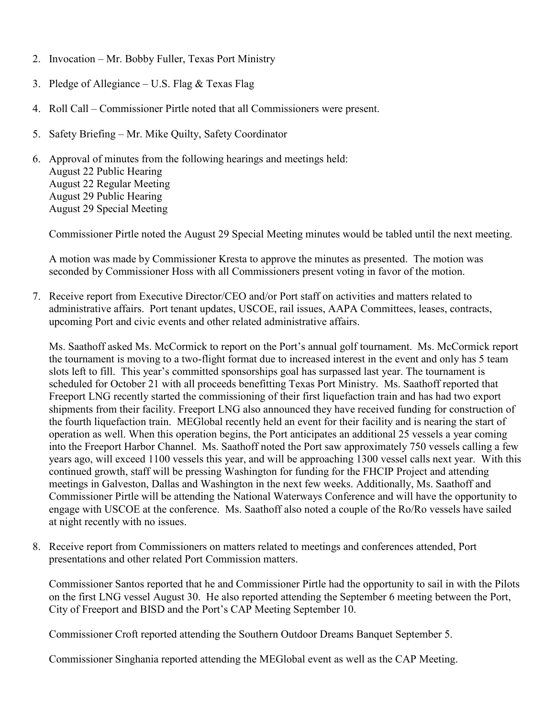- 2. Invocation Mr. Bobby Fuller, Texas Port Ministry
- 3. Pledge of Allegiance U.S. Flag & Texas Flag
- 4. Roll Call Commissioner Pirtle noted that all Commissioners were present.
- 5. Safety Briefing Mr. Mike Quilty, Safety Coordinator
- 6. Approval of minutes from the following hearings and meetings held: August 22 Public Hearing August 22 Regular Meeting August 29 Public Hearing August 29 Special Meeting

Commissioner Pirtle noted the August 29 Special Meeting minutes would be tabled until the next meeting.

A motion was made by Commissioner Kresta to approve the minutes as presented. The motion was seconded by Commissioner Hoss with all Commissioners present voting in favor of the motion.

7. Receive report from Executive Director/CEO and/or Port staff on activities and matters related to administrative affairs. Port tenant updates, USCOE, rail issues, AAPA Committees, leases, contracts, upcoming Port and civic events and other related administrative affairs.

Ms. Saathoff asked Ms. McCormick to report on the Port's annual golf tournament. Ms. McCormick report the tournament is moving to a two-flight format due to increased interest in the event and only has 5 team slots left to fill. This year's committed sponsorships goal has surpassed last year. The tournament is scheduled for October 21 with all proceeds benefitting Texas Port Ministry. Ms. Saathoff reported that Freeport LNG recently started the commissioning of their first liquefaction train and has had two export shipments from their facility. Freeport LNG also announced they have received funding for construction of the fourth liquefaction train. MEGlobal recently held an event for their facility and is nearing the start of operation as well. When this operation begins, the Port anticipates an additional 25 vessels a year coming into the Freeport Harbor Channel. Ms. Saathoff noted the Port saw approximately 750 vessels calling a few years ago, will exceed 1100 vessels this year, and will be approaching 1300 vessel calls next year. With this continued growth, staff will be pressing Washington for funding for the FHCIP Project and attending meetings in Galveston, Dallas and Washington in the next few weeks. Additionally, Ms. Saathoff and Commissioner Pirtle will be attending the National Waterways Conference and will have the opportunity to engage with USCOE at the conference. Ms. Saathoff also noted a couple of the Ro/Ro vessels have sailed at night recently with no issues.

8. Receive report from Commissioners on matters related to meetings and conferences attended, Port presentations and other related Port Commission matters.

Commissioner Santos reported that he and Commissioner Pirtle had the opportunity to sail in with the Pilots on the first LNG vessel August 30. He also reported attending the September 6 meeting between the Port, City of Freeport and BISD and the Port's CAP Meeting September 10.

Commissioner Croft reported attending the Southern Outdoor Dreams Banquet September 5.

Commissioner Singhania reported attending the MEGlobal event as well as the CAP Meeting.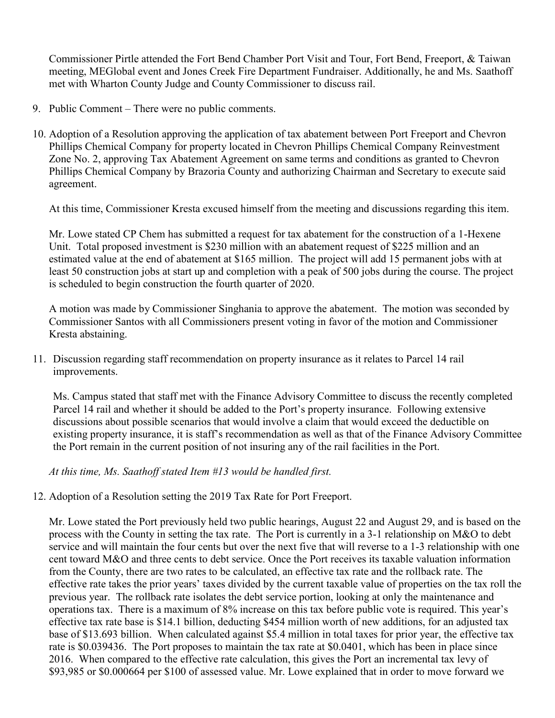Commissioner Pirtle attended the Fort Bend Chamber Port Visit and Tour, Fort Bend, Freeport, & Taiwan meeting, MEGlobal event and Jones Creek Fire Department Fundraiser. Additionally, he and Ms. Saathoff met with Wharton County Judge and County Commissioner to discuss rail.

- 9. Public Comment There were no public comments.
- 10. Adoption of a Resolution approving the application of tax abatement between Port Freeport and Chevron Phillips Chemical Company for property located in Chevron Phillips Chemical Company Reinvestment Zone No. 2, approving Tax Abatement Agreement on same terms and conditions as granted to Chevron Phillips Chemical Company by Brazoria County and authorizing Chairman and Secretary to execute said agreement.

At this time, Commissioner Kresta excused himself from the meeting and discussions regarding this item.

Mr. Lowe stated CP Chem has submitted a request for tax abatement for the construction of a 1-Hexene Unit. Total proposed investment is \$230 million with an abatement request of \$225 million and an estimated value at the end of abatement at \$165 million. The project will add 15 permanent jobs with at least 50 construction jobs at start up and completion with a peak of 500 jobs during the course. The project is scheduled to begin construction the fourth quarter of 2020.

A motion was made by Commissioner Singhania to approve the abatement. The motion was seconded by Commissioner Santos with all Commissioners present voting in favor of the motion and Commissioner Kresta abstaining.

11. Discussion regarding staff recommendation on property insurance as it relates to Parcel 14 rail improvements.

Ms. Campus stated that staff met with the Finance Advisory Committee to discuss the recently completed Parcel 14 rail and whether it should be added to the Port's property insurance. Following extensive discussions about possible scenarios that would involve a claim that would exceed the deductible on existing property insurance, it is staff's recommendation as well as that of the Finance Advisory Committee the Port remain in the current position of not insuring any of the rail facilities in the Port.

*At this time, Ms. Saathoff stated Item #13 would be handled first.*

12. Adoption of a Resolution setting the 2019 Tax Rate for Port Freeport.

Mr. Lowe stated the Port previously held two public hearings, August 22 and August 29, and is based on the process with the County in setting the tax rate. The Port is currently in a 3-1 relationship on M&O to debt service and will maintain the four cents but over the next five that will reverse to a 1-3 relationship with one cent toward M&O and three cents to debt service. Once the Port receives its taxable valuation information from the County, there are two rates to be calculated, an effective tax rate and the rollback rate. The effective rate takes the prior years' taxes divided by the current taxable value of properties on the tax roll the previous year. The rollback rate isolates the debt service portion, looking at only the maintenance and operations tax. There is a maximum of 8% increase on this tax before public vote is required. This year's effective tax rate base is \$14.1 billion, deducting \$454 million worth of new additions, for an adjusted tax base of \$13.693 billion. When calculated against \$5.4 million in total taxes for prior year, the effective tax rate is \$0.039436. The Port proposes to maintain the tax rate at \$0.0401, which has been in place since 2016. When compared to the effective rate calculation, this gives the Port an incremental tax levy of \$93,985 or \$0.000664 per \$100 of assessed value. Mr. Lowe explained that in order to move forward we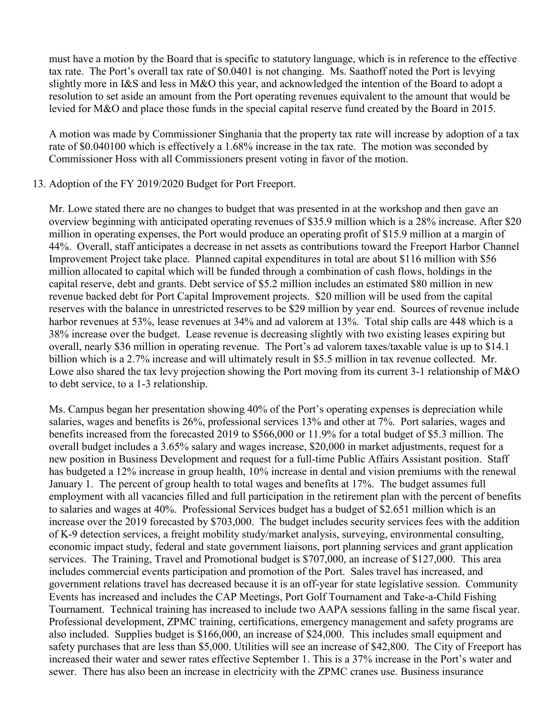must have a motion by the Board that is specific to statutory language, which is in reference to the effective tax rate. The Port's overall tax rate of \$0.0401 is not changing. Ms. Saathoff noted the Port is levying slightly more in I&S and less in M&O this year, and acknowledged the intention of the Board to adopt a resolution to set aside an amount from the Port operating revenues equivalent to the amount that would be levied for M&O and place those funds in the special capital reserve fund created by the Board in 2015.

A motion was made by Commissioner Singhania that the property tax rate will increase by adoption of a tax rate of \$0.040100 which is effectively a 1.68% increase in the tax rate. The motion was seconded by Commissioner Hoss with all Commissioners present voting in favor of the motion.

## 13. Adoption of the FY 2019/2020 Budget for Port Freeport.

Mr. Lowe stated there are no changes to budget that was presented in at the workshop and then gave an overview beginning with anticipated operating revenues of \$35.9 million which is a 28% increase. After \$20 million in operating expenses, the Port would produce an operating profit of \$15.9 million at a margin of 44%. Overall, staff anticipates a decrease in net assets as contributions toward the Freeport Harbor Channel Improvement Project take place. Planned capital expenditures in total are about \$116 million with \$56 million allocated to capital which will be funded through a combination of cash flows, holdings in the capital reserve, debt and grants. Debt service of \$5.2 million includes an estimated \$80 million in new revenue backed debt for Port Capital Improvement projects. \$20 million will be used from the capital reserves with the balance in unrestricted reserves to be \$29 million by year end. Sources of revenue include harbor revenues at 53%, lease revenues at 34% and ad valorem at 13%. Total ship calls are 448 which is a 38% increase over the budget. Lease revenue is decreasing slightly with two existing leases expiring but overall, nearly \$36 million in operating revenue. The Port's ad valorem taxes/taxable value is up to \$14.1 billion which is a 2.7% increase and will ultimately result in \$5.5 million in tax revenue collected. Mr. Lowe also shared the tax levy projection showing the Port moving from its current 3-1 relationship of M&O to debt service, to a 1-3 relationship.

Ms. Campus began her presentation showing 40% of the Port's operating expenses is depreciation while salaries, wages and benefits is 26%, professional services 13% and other at 7%. Port salaries, wages and benefits increased from the forecasted 2019 to \$566,000 or 11.9% for a total budget of \$5.3 million. The overall budget includes a 3.65% salary and wages increase, \$20,000 in market adjustments, request for a new position in Business Development and request for a full-time Public Affairs Assistant position. Staff has budgeted a 12% increase in group health, 10% increase in dental and vision premiums with the renewal January 1. The percent of group health to total wages and benefits at 17%. The budget assumes full employment with all vacancies filled and full participation in the retirement plan with the percent of benefits to salaries and wages at 40%. Professional Services budget has a budget of \$2.651 million which is an increase over the 2019 forecasted by \$703,000. The budget includes security services fees with the addition of K-9 detection services, a freight mobility study/market analysis, surveying, environmental consulting, economic impact study, federal and state government liaisons, port planning services and grant application services. The Training, Travel and Promotional budget is \$707,000, an increase of \$127,000. This area includes commercial events participation and promotion of the Port. Sales travel has increased, and government relations travel has decreased because it is an off-year for state legislative session. Community Events has increased and includes the CAP Meetings, Port Golf Tournament and Take-a-Child Fishing Tournament. Technical training has increased to include two AAPA sessions falling in the same fiscal year. Professional development, ZPMC training, certifications, emergency management and safety programs are also included. Supplies budget is \$166,000, an increase of \$24,000. This includes small equipment and safety purchases that are less than \$5,000. Utilities will see an increase of \$42,800. The City of Freeport has increased their water and sewer rates effective September 1. This is a 37% increase in the Port's water and sewer. There has also been an increase in electricity with the ZPMC cranes use. Business insurance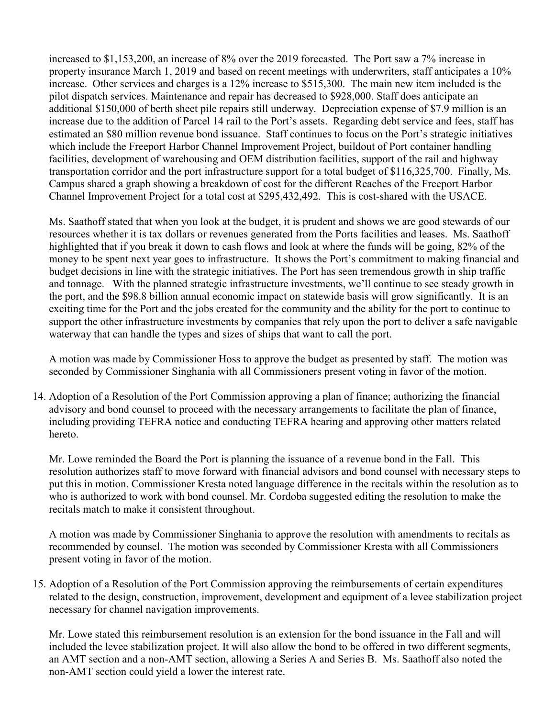increased to \$1,153,200, an increase of 8% over the 2019 forecasted. The Port saw a 7% increase in property insurance March 1, 2019 and based on recent meetings with underwriters, staff anticipates a 10% increase. Other services and charges is a 12% increase to \$515,300. The main new item included is the pilot dispatch services. Maintenance and repair has decreased to \$928,000. Staff does anticipate an additional \$150,000 of berth sheet pile repairs still underway. Depreciation expense of \$7.9 million is an increase due to the addition of Parcel 14 rail to the Port's assets. Regarding debt service and fees, staff has estimated an \$80 million revenue bond issuance. Staff continues to focus on the Port's strategic initiatives which include the Freeport Harbor Channel Improvement Project, buildout of Port container handling facilities, development of warehousing and OEM distribution facilities, support of the rail and highway transportation corridor and the port infrastructure support for a total budget of \$116,325,700. Finally, Ms. Campus shared a graph showing a breakdown of cost for the different Reaches of the Freeport Harbor Channel Improvement Project for a total cost at \$295,432,492. This is cost-shared with the USACE.

Ms. Saathoff stated that when you look at the budget, it is prudent and shows we are good stewards of our resources whether it is tax dollars or revenues generated from the Ports facilities and leases. Ms. Saathoff highlighted that if you break it down to cash flows and look at where the funds will be going, 82% of the money to be spent next year goes to infrastructure. It shows the Port's commitment to making financial and budget decisions in line with the strategic initiatives. The Port has seen tremendous growth in ship traffic and tonnage. With the planned strategic infrastructure investments, we'll continue to see steady growth in the port, and the \$98.8 billion annual economic impact on statewide basis will grow significantly. It is an exciting time for the Port and the jobs created for the community and the ability for the port to continue to support the other infrastructure investments by companies that rely upon the port to deliver a safe navigable waterway that can handle the types and sizes of ships that want to call the port.

A motion was made by Commissioner Hoss to approve the budget as presented by staff. The motion was seconded by Commissioner Singhania with all Commissioners present voting in favor of the motion.

14. Adoption of a Resolution of the Port Commission approving a plan of finance; authorizing the financial advisory and bond counsel to proceed with the necessary arrangements to facilitate the plan of finance, including providing TEFRA notice and conducting TEFRA hearing and approving other matters related hereto.

Mr. Lowe reminded the Board the Port is planning the issuance of a revenue bond in the Fall. This resolution authorizes staff to move forward with financial advisors and bond counsel with necessary steps to put this in motion. Commissioner Kresta noted language difference in the recitals within the resolution as to who is authorized to work with bond counsel. Mr. Cordoba suggested editing the resolution to make the recitals match to make it consistent throughout.

A motion was made by Commissioner Singhania to approve the resolution with amendments to recitals as recommended by counsel. The motion was seconded by Commissioner Kresta with all Commissioners present voting in favor of the motion.

15. Adoption of a Resolution of the Port Commission approving the reimbursements of certain expenditures related to the design, construction, improvement, development and equipment of a levee stabilization project necessary for channel navigation improvements.

Mr. Lowe stated this reimbursement resolution is an extension for the bond issuance in the Fall and will included the levee stabilization project. It will also allow the bond to be offered in two different segments, an AMT section and a non-AMT section, allowing a Series A and Series B. Ms. Saathoff also noted the non-AMT section could yield a lower the interest rate.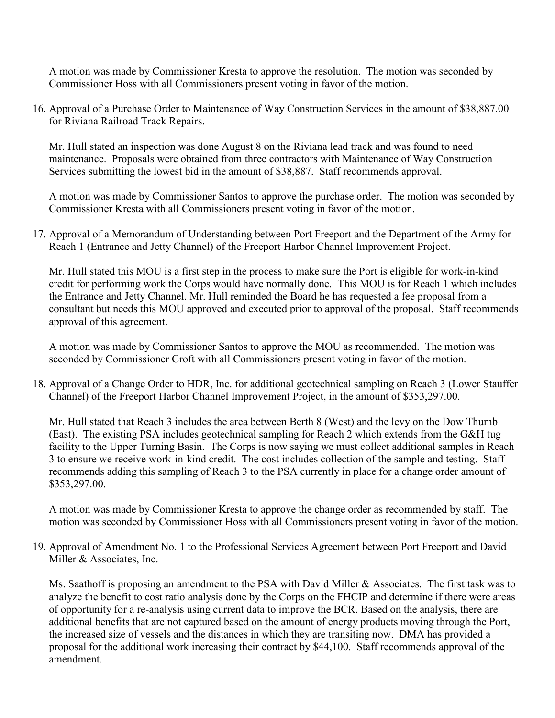A motion was made by Commissioner Kresta to approve the resolution. The motion was seconded by Commissioner Hoss with all Commissioners present voting in favor of the motion.

16. Approval of a Purchase Order to Maintenance of Way Construction Services in the amount of \$38,887.00 for Riviana Railroad Track Repairs.

Mr. Hull stated an inspection was done August 8 on the Riviana lead track and was found to need maintenance. Proposals were obtained from three contractors with Maintenance of Way Construction Services submitting the lowest bid in the amount of \$38,887. Staff recommends approval.

A motion was made by Commissioner Santos to approve the purchase order. The motion was seconded by Commissioner Kresta with all Commissioners present voting in favor of the motion.

17. Approval of a Memorandum of Understanding between Port Freeport and the Department of the Army for Reach 1 (Entrance and Jetty Channel) of the Freeport Harbor Channel Improvement Project.

Mr. Hull stated this MOU is a first step in the process to make sure the Port is eligible for work-in-kind credit for performing work the Corps would have normally done. This MOU is for Reach 1 which includes the Entrance and Jetty Channel. Mr. Hull reminded the Board he has requested a fee proposal from a consultant but needs this MOU approved and executed prior to approval of the proposal. Staff recommends approval of this agreement.

A motion was made by Commissioner Santos to approve the MOU as recommended. The motion was seconded by Commissioner Croft with all Commissioners present voting in favor of the motion.

18. Approval of a Change Order to HDR, Inc. for additional geotechnical sampling on Reach 3 (Lower Stauffer Channel) of the Freeport Harbor Channel Improvement Project, in the amount of \$353,297.00.

Mr. Hull stated that Reach 3 includes the area between Berth 8 (West) and the levy on the Dow Thumb (East). The existing PSA includes geotechnical sampling for Reach 2 which extends from the G&H tug facility to the Upper Turning Basin. The Corps is now saying we must collect additional samples in Reach 3 to ensure we receive work-in-kind credit. The cost includes collection of the sample and testing. Staff recommends adding this sampling of Reach 3 to the PSA currently in place for a change order amount of \$353,297.00.

A motion was made by Commissioner Kresta to approve the change order as recommended by staff. The motion was seconded by Commissioner Hoss with all Commissioners present voting in favor of the motion.

19. Approval of Amendment No. 1 to the Professional Services Agreement between Port Freeport and David Miller & Associates, Inc.

Ms. Saathoff is proposing an amendment to the PSA with David Miller & Associates. The first task was to analyze the benefit to cost ratio analysis done by the Corps on the FHCIP and determine if there were areas of opportunity for a re-analysis using current data to improve the BCR. Based on the analysis, there are additional benefits that are not captured based on the amount of energy products moving through the Port, the increased size of vessels and the distances in which they are transiting now. DMA has provided a proposal for the additional work increasing their contract by \$44,100. Staff recommends approval of the amendment.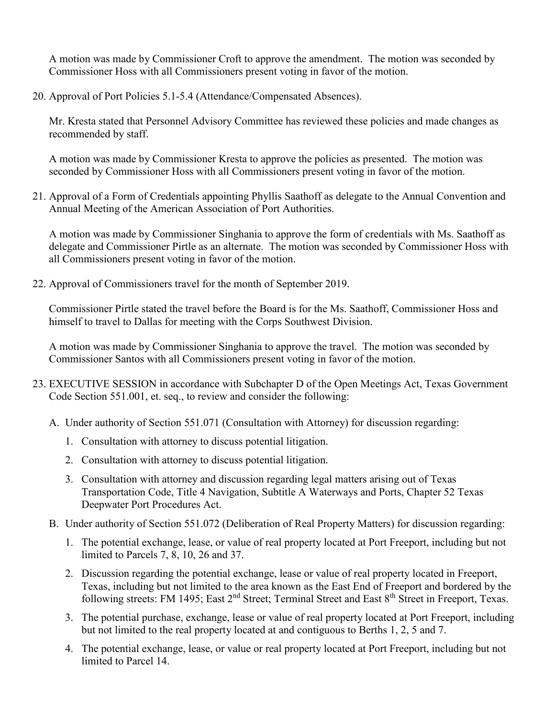A motion was made by Commissioner Croft to approve the amendment. The motion was seconded by Commissioner Hoss with all Commissioners present voting in favor of the motion.

20. Approval of Port Policies 5.1-5.4 (Attendance/Compensated Absences).

Mr. Kresta stated that Personnel Advisory Committee has reviewed these policies and made changes as recommended by staff.

A motion was made by Commissioner Kresta to approve the policies as presented. The motion was seconded by Commissioner Hoss with all Commissioners present voting in favor of the motion.

21. Approval of a Form of Credentials appointing Phyllis Saathoff as delegate to the Annual Convention and Annual Meeting of the American Association of Port Authorities.

A motion was made by Commissioner Singhania to approve the form of credentials with Ms. Saathoff as delegate and Commissioner Pirtle as an alternate. The motion was seconded by Commissioner Hoss with all Commissioners present voting in favor of the motion.

22. Approval of Commissioners travel for the month of September 2019.

Commissioner Pirtle stated the travel before the Board is for the Ms. Saathoff, Commissioner Hoss and himself to travel to Dallas for meeting with the Corps Southwest Division.

A motion was made by Commissioner Singhania to approve the travel. The motion was seconded by Commissioner Santos with all Commissioners present voting in favor of the motion.

- 23. EXECUTIVE SESSION in accordance with Subchapter D of the Open Meetings Act, Texas Government Code Section 551.001, et. seq., to review and consider the following:
	- A. Under authority of Section 551.071 (Consultation with Attorney) for discussion regarding:
		- 1. Consultation with attorney to discuss potential litigation.
		- 2. Consultation with attorney to discuss potential litigation.
		- 3. Consultation with attorney and discussion regarding legal matters arising out of Texas Transportation Code, Title 4 Navigation, Subtitle A Waterways and Ports, Chapter 52 Texas Deepwater Port Procedures Act.
	- B. Under authority of Section 551.072 (Deliberation of Real Property Matters) for discussion regarding:
		- 1. The potential exchange, lease, or value of real property located at Port Freeport, including but not limited to Parcels 7, 8, 10, 26 and 37.
		- 2. Discussion regarding the potential exchange, lease or value of real property located in Freeport, Texas, including but not limited to the area known as the East End of Freeport and bordered by the following streets: FM 1495; East 2<sup>nd</sup> Street; Terminal Street and East 8<sup>th</sup> Street in Freeport, Texas.
		- 3. The potential purchase, exchange, lease or value of real property located at Port Freeport, including but not limited to the real property located at and contiguous to Berths 1, 2, 5 and 7.
		- 4. The potential exchange, lease, or value or real property located at Port Freeport, including but not limited to Parcel 14.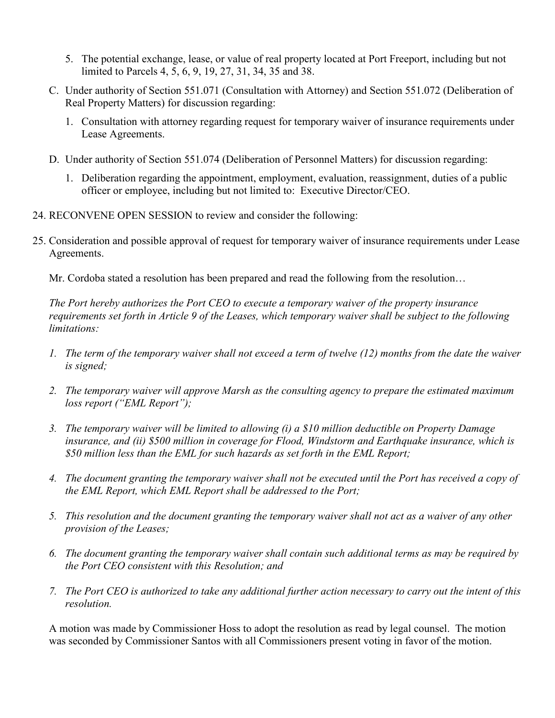- 5. The potential exchange, lease, or value of real property located at Port Freeport, including but not limited to Parcels 4, 5, 6, 9, 19, 27, 31, 34, 35 and 38.
- C. Under authority of Section 551.071 (Consultation with Attorney) and Section 551.072 (Deliberation of Real Property Matters) for discussion regarding:
	- 1. Consultation with attorney regarding request for temporary waiver of insurance requirements under Lease Agreements.
- D. Under authority of Section 551.074 (Deliberation of Personnel Matters) for discussion regarding:
	- 1. Deliberation regarding the appointment, employment, evaluation, reassignment, duties of a public officer or employee, including but not limited to: Executive Director/CEO.
- 24. RECONVENE OPEN SESSION to review and consider the following:
- 25. Consideration and possible approval of request for temporary waiver of insurance requirements under Lease Agreements.

Mr. Cordoba stated a resolution has been prepared and read the following from the resolution…

*The Port hereby authorizes the Port CEO to execute a temporary waiver of the property insurance requirements set forth in Article 9 of the Leases, which temporary waiver shall be subject to the following limitations:* 

- *1. The term of the temporary waiver shall not exceed a term of twelve (12) months from the date the waiver is signed;*
- *2. The temporary waiver will approve Marsh as the consulting agency to prepare the estimated maximum loss report ("EML Report");*
- *3. The temporary waiver will be limited to allowing (i) a \$10 million deductible on Property Damage insurance, and (ii) \$500 million in coverage for Flood, Windstorm and Earthquake insurance, which is \$50 million less than the EML for such hazards as set forth in the EML Report;*
- *4. The document granting the temporary waiver shall not be executed until the Port has received a copy of the EML Report, which EML Report shall be addressed to the Port;*
- *5. This resolution and the document granting the temporary waiver shall not act as a waiver of any other provision of the Leases;*
- *6. The document granting the temporary waiver shall contain such additional terms as may be required by the Port CEO consistent with this Resolution; and*
- *7. The Port CEO is authorized to take any additional further action necessary to carry out the intent of this resolution.*

A motion was made by Commissioner Hoss to adopt the resolution as read by legal counsel. The motion was seconded by Commissioner Santos with all Commissioners present voting in favor of the motion.